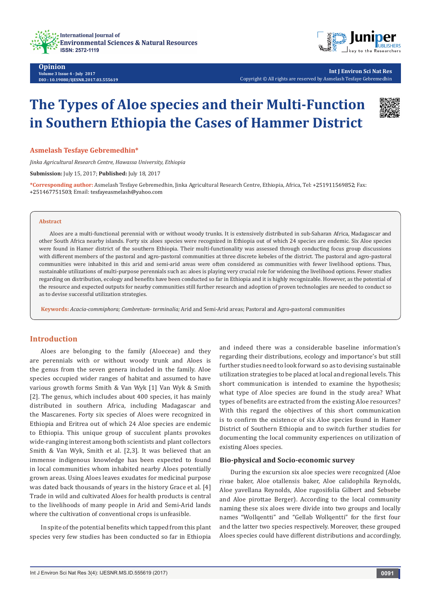



**Int J Environ Sci Nat Res** Copyright © All rights are reserved by Asmelash Tesfaye Gebremedhin

# **The Types of Aloe species and their Multi-Function in Southern Ethiopia the Cases of Hammer District**



*Jinka Agricultural Research Centre, Hawassa University, Ethiopia*

**Submission:** July 15, 2017; **Published:** July 18, 2017

\*Corresponding author: Asmelash Tesfaye Gebremedhin, Jinka Agricultural Research Centre, Ethiopia, Africa, Tel: +251911569852; Fax: +251467751503; Email: tesfayeasmelash@yahoo.com

#### **Abstract**

Aloes are a multi-functional perennial with or without woody trunks. It is extensively distributed in sub-Saharan Africa, Madagascar and other South Africa nearby islands. Forty six aloes species were recognized in Ethiopia out of which 24 species are endemic. Six Aloe species were found in Hamer district of the southern Ethiopia. Their multi-functionality was assessed through conducting focus group discussions with different members of the pastoral and agro-pastoral communities at three discrete kebeles of the district. The pastoral and agro-pastoral communities were inhabited in this arid and semi-arid areas were often considered as communities with fewer livelihood options. Thus, sustainable utilizations of multi-purpose perennials such as: aloes is playing very crucial role for widening the livelihood options. Fewer studies regarding on distribution, ecology and benefits have been conducted so far in Ethiopia and it is highly recognizable. However, as the potential of the resource and expected outputs for nearby communities still further research and adoption of proven technologies are needed to conduct so as to devise successful utilization strategies.

**Keywords:** *Acacia-commiphora; Combretum- terminalia;* Arid and Semi-Arid areas; Pastoral and Agro-pastoral communities

## **Introduction**

Aloes are belonging to the family (Aloeceae) and they are perennials with or without woody trunk and Aloes is the genus from the seven genera included in the family. Aloe species occupied wider ranges of habitat and assumed to have various growth forms Smith & Van Wyk [1] Van Wyk & Smith [2]. The genus, which includes about 400 species, it has mainly distributed in southern Africa, including Madagascar and the Mascarenes. Forty six species of Aloes were recognized in Ethiopia and Eritrea out of which 24 Aloe species are endemic to Ethiopia. This unique group of succulent plants provokes wide-ranging interest among both scientists and plant collectors Smith & Van Wyk, Smith et al. [2,3]. It was believed that an immense indigenous knowledge has been expected to found in local communities whom inhabited nearby Aloes potentially grown areas. Using Aloes leaves exudates for medicinal purpose was dated back thousands of years in the history Grace et al. [4] Trade in wild and cultivated Aloes for health products is central to the livelihoods of many people in Arid and Semi-Arid lands where the cultivation of conventional crops is unfeasible.

In spite of the potential benefits which tapped from this plant species very few studies has been conducted so far in Ethiopia and indeed there was a considerable baseline information's regarding their distributions, ecology and importance's but still further studies need to look forward so as to devising sustainable utilization strategies to be placed at local and regional levels. This short communication is intended to examine the hypothesis; what type of Aloe species are found in the study area? What types of benefits are extracted from the existing Aloe resources? With this regard the objectives of this short communication is to confirm the existence of six Aloe species found in Hamer District of Southern Ethiopia and to switch further studies for documenting the local community experiences on utilization of existing Aloes species.

#### **Bio-physical and Socio-economic survey**

During the excursion six aloe species were recognized (Aloe rivae baker, Aloe otallensis baker, Aloe calidophila Reynolds, Aloe yavellana Reynolds, Aloe rugosifolia Gilbert and Sebsebe and Aloe pirottae Berger). According to the local community naming these six aloes were divide into two groups and locally names "Wollqentti" and "Gellab Wollqentti" for the first four and the latter two species respectively. Moreover, these grouped Aloes species could have different distributions and accordingly,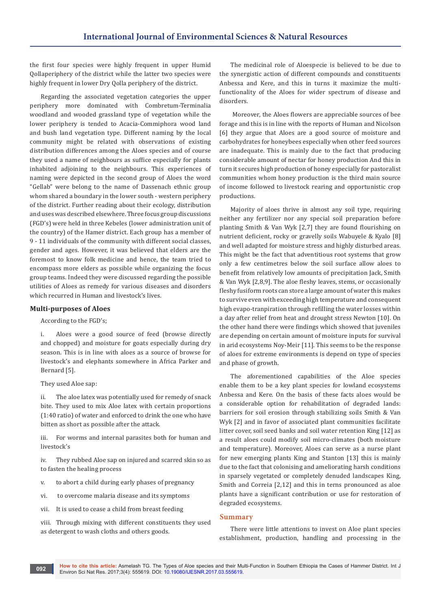the first four species were highly frequent in upper Humid Qollaperiphery of the district while the latter two species were highly frequent in lower Dry Qolla periphery of the district.

Regarding the associated vegetation categories the upper periphery more dominated with Combretum-Terminalia woodland and wooded grassland type of vegetation while the lower periphery is tended to Acacia-Commiphora wood land and bush land vegetation type. Different naming by the local community might be related with observations of existing distribution differences among the Aloes species and of course they used a name of neighbours as suffice especially for plants inhabited adjoining to the neighbours. This experiences of naming were depicted in the second group of Aloes the word "Gellab" were belong to the name of Dassenach ethnic group whom shared a boundary in the lower south - western periphery of the district. Further reading about their ecology, distribution and uses was described elsewhere. Three focus group discussions (FGD's) were held in three Kebeles (lower administration unit of the country) of the Hamer district. Each group has a member of 9 - 11 individuals of the community with different social classes, gender and ages. However, it was believed that elders are the foremost to know folk medicine and hence, the team tried to encompass more elders as possible while organizing the focus group teams. Indeed they were discussed regarding the possible utilities of Aloes as remedy for various diseases and disorders which recurred in Human and livestock's lives.

#### **Multi-purposes of Aloes**

According to the FGD's;

i. Aloes were a good source of feed (browse directly and chopped) and moisture for goats especially during dry season. This is in line with aloes as a source of browse for livestock's and elephants somewhere in Africa Parker and Bernard [5].

They used Aloe sap:

ii. The aloe latex was potentially used for remedy of snack bite. They used to mix Aloe latex with certain proportions (1:40 ratio) of water and enforced to drink the one who have bitten as short as possible after the attack.

iii. For worms and internal parasites both for human and livestock's

iv. They rubbed Aloe sap on injured and scarred skin so as to fasten the healing process

- v. to abort a child during early phases of pregnancy
- vi. to overcome malaria disease and its symptoms
- vii. It is used to cease a child from breast feeding

viii. Through mixing with different constituents they used as detergent to wash cloths and others goods.

The medicinal role of Aloespecie is believed to be due to the synergistic action of different compounds and constituents Anbessa and Kere, and this in turns it maximize the multifunctionality of the Aloes for wider spectrum of disease and disorders.

 Moreover, the Aloes flowers are appreciable sources of bee forage and this is in line with the reports of Human and Nicolson [6] they argue that Aloes are a good source of moisture and carbohydrates for honeybees especially when other feed sources are inadequate. This is mainly due to the fact that producing considerable amount of nectar for honey production And this in turn it secures high production of honey especially for pastoralist communities whom honey production is the third main source of income followed to livestock rearing and opportunistic crop productions.

Majority of aloes thrive in almost any soil type, requiring neither any fertilizer nor any special soil preparation before planting Smith & Van Wyk [2,7] they are found flourishing on nutrient deficient, rocky or gravelly soils Wabuyele & Kyalo [8] and well adapted for moisture stress and highly disturbed areas. This might be the fact that adventitious root systems that grow only a few centimetres below the soil surface allow aloes to benefit from relatively low amounts of precipitation Jack, Smith & Van Wyk [2,8,9]. The aloe fleshy leaves, stems, or occasionally fleshy fusiform roots can store a large amount of water this makes to survive even with exceeding high temperature and consequent high evapo-tranpiration through refilling the water losses within a day after relief from heat and drought stress Newton [10]. On the other hand there were findings which showed that juveniles are depending on certain amount of moisture inputs for survival in arid ecosystems Noy-Meir [11]. This seems to be the response of aloes for extreme environments is depend on type of species and phase of growth.

The aforementioned capabilities of the Aloe species enable them to be a key plant species for lowland ecosystems Anbessa and Kere. On the basis of these facts aloes would be a considerable option for rehabilitation of degraded lands: barriers for soil erosion through stabilizing soils Smith & Van Wyk [2] and in favor of associated plant communities facilitate litter cover, soil seed banks and soil water retention King [12] as a result aloes could modify soil micro-climates (both moisture and temperature). Moreover, Aloes can serve as a nurse plant for new emerging plants King and Stanton [13] this is mainly due to the fact that colonising and ameliorating harsh conditions in sparsely vegetated or completely denuded landscapes King, Smith and Correia [2,12] and this in terns pronounced as aloe plants have a significant contribution or use for restoration of degraded ecosystems.

## **Summary**

There were little attentions to invest on Aloe plant species establishment, production, handling and processing in the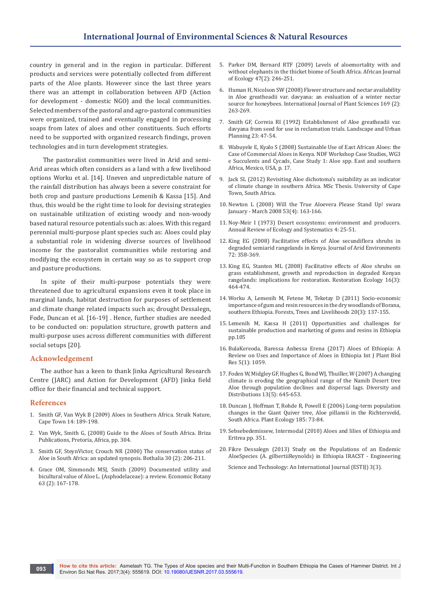country in general and in the region in particular. Different products and services were potentially collected from different parts of the Aloe plants. However since the last three years there was an attempt in collaboration between AFD (Action for development - domestic NGO) and the local communities. Selected members of the pastoral and agro-pastoral communities were organized, trained and eventually engaged in processing soaps from latex of aloes and other constituents. Such efforts need to be supported with organized research findings, proven technologies and in turn development strategies.

 The pastoralist communities were lived in Arid and semi-Arid areas which often considers as a land with a few livelihood options Worku et al. [14]. Uneven and unpredictable nature of the rainfall distribution has always been a severe constraint for both crop and pasture productions Lemenih & Kassa [15]. And thus, this would be the right time to look for devising strategies on sustainable utilization of existing woody and non-woody based natural resource potentials such as: aloes. With this regard perennial multi-purpose plant species such as: Aloes could play a substantial role in widening diverse sources of livelihood income for the pastoralist communities while restoring and modifying the ecosystem in certain way so as to support crop and pasture productions.

In spite of their multi-purpose potentials they were threatened due to agricultural expansions even it took place in marginal lands, habitat destruction for purposes of settlement and climate change related impacts such as; drought Dessalegn, Fode, Duncan et al. [16-19] . Hence, further studies are needed to be conducted on: population structure, growth pattern and multi-purpose uses across different communities with different social setups [20].

#### **Acknowledgement**

The author has a keen to thank Jinka Agricultural Research Centre (JARC) and Action for Development (AFD) Jinka field office for their financial and technical support.

#### **References**

- 1. [Smith GF, Van Wyk B \(2009\) Aloes in Southern Africa. Struik Nature,](http://www.bioone.org/doi/abs/10.2985/1070-0048-14.1.189)  [Cape Town 14: 189-198.](http://www.bioone.org/doi/abs/10.2985/1070-0048-14.1.189)
- 2. [Van Wyk, Smith G, \(2008\) Guide to the Aloes of South Africa. Briza](http://www.ben-erikvanwyk.com/Webpage%20Publications.html)  [Publications, Pretoria, Africa, pp. 304.](http://www.ben-erikvanwyk.com/Webpage%20Publications.html)
- 3. [Smith GF, SteynVictor, Crouch NR \(2000\) The conservation status of](https://www.researchgate.net/publication/256442151_Aloaceae_)  [Aloe in South Africa: an updated synopsis. Bothalia 30 \(2\): 206-211.](https://www.researchgate.net/publication/256442151_Aloaceae_)
- 4. Grace OM, Simmonds MSJ, Smith (2009) Documented utility and bicultural value of Aloe L. (Asphodelaceae): a review. Economic Botany 63 (2): 167-178.
- 5. [Parker DM, Bernard RTF \(2009\) Levels of aloemortality with and](http://onlinelibrary.wiley.com/doi/10.1111/j.1365-2028.2008.01025.x/abstract)  [without elephants in the thicket biome of South Africa. African Journal](http://onlinelibrary.wiley.com/doi/10.1111/j.1365-2028.2008.01025.x/abstract)  [of Ecology 47\(2\): 246-251.](http://onlinelibrary.wiley.com/doi/10.1111/j.1365-2028.2008.01025.x/abstract)
- 6. [Human H, Nicolson SW \(2008\) Flower structure and nectar availability](http://www.journals.uchicago.edu/doi/abs/10.1086/524113)  [in Aloe greatheadii var. davyana: an evaluation of a winter nectar](http://www.journals.uchicago.edu/doi/abs/10.1086/524113)  [source for honeybees. International Journal of Plant Sciences 169 \(2\):](http://www.journals.uchicago.edu/doi/abs/10.1086/524113)  [263-269.](http://www.journals.uchicago.edu/doi/abs/10.1086/524113)
- 7. [Smith GF, Correia RI \(1992\) Establishment of Aloe greatheadii var.](https://www.researchgate.net/publication/222329594)  [davyana from seed for use in reclamation trials. Landscape and Urban](https://www.researchgate.net/publication/222329594)  [Planning 23: 47-54.](https://www.researchgate.net/publication/222329594)
- 8. [Wabuyele E, Kyalo S \(2008\) Sustainable Use of East African Aloes: the](https://cites.unia.es/file.php/1/files/WG3-CS1.pdf)  [Case of Commercial Aloes in Kenya. NDF Workshop Case Studies, WG3](https://cites.unia.es/file.php/1/files/WG3-CS1.pdf)  [e Succulents and Cycads, Case Study 1: Aloe spp. East and southern](https://cites.unia.es/file.php/1/files/WG3-CS1.pdf)  [Africa, Mexico, USA, p. 17.](https://cites.unia.es/file.php/1/files/WG3-CS1.pdf)
- 9. Jack SL (2012) Revisiting Aloe dichotoma's suitability as an indicator of climate change in southern Africa. MSc Thesis. University of Cape Town, South Africa.
- 10. [Newton L \(2008\) Will the True Aloevera Please Stand Up! swara](https://www.ncbi.nlm.nih.gov/pmc/articles/PMC2763764/)  [January - March 2008 53\(4\): 163-166.](https://www.ncbi.nlm.nih.gov/pmc/articles/PMC2763764/)
- 11. [Noy-Meir I \(1973\) Desert ecosystems: environment and producers.](http://www.annualreviews.org/doi/abs/10.1146/annurev.es.04.110173.000325)  [Annual Review of Ecology and Systematics 4: 25-51.](http://www.annualreviews.org/doi/abs/10.1146/annurev.es.04.110173.000325)
- 12. [King EG \(2008\) Facilitative effects of Aloe secundiflora shrubs in](https://www.researchgate.net/publication/228476116_Facilitative_effects_of_Aloe_secundiflora_shrubs_in_degraded_semi-arid_rangelands_in_Kenya)  [degraded semiarid rangelands in Kenya. Journal of Arid Environments](https://www.researchgate.net/publication/228476116_Facilitative_effects_of_Aloe_secundiflora_shrubs_in_degraded_semi-arid_rangelands_in_Kenya)  [72: 358-369.](https://www.researchgate.net/publication/228476116_Facilitative_effects_of_Aloe_secundiflora_shrubs_in_degraded_semi-arid_rangelands_in_Kenya)
- 13. [King EG, Stanton ML \(2008\) Facilitative effects of Aloe shrubs on](http://onlinelibrary.wiley.com/doi/10.1111/j.1526-100X.2007.00310.x/abstract)  [grass establishment, growth and reproduction in degraded Kenyan](http://onlinelibrary.wiley.com/doi/10.1111/j.1526-100X.2007.00310.x/abstract)  [rangelands: implications for restoration. Restoration Ecology 16\(3\):](http://onlinelibrary.wiley.com/doi/10.1111/j.1526-100X.2007.00310.x/abstract)  [464-474.](http://onlinelibrary.wiley.com/doi/10.1111/j.1526-100X.2007.00310.x/abstract)
- 14. [Worku A, Lemenih M, Fetene M, Teketay D \(2011\) Socio-economic](http://www.tandfonline.com/doi/abs/10.1080/14728028.2011.9756703)  [importance of gum and resin resources in the dry woodlands of Borana,](http://www.tandfonline.com/doi/abs/10.1080/14728028.2011.9756703)  [southern Ethiopia. Forests, Trees and Livelihoods 20\(3\): 137-155.](http://www.tandfonline.com/doi/abs/10.1080/14728028.2011.9756703)
- 15. [Lemenih M, Kassa H \(2011\) Opportunities and challenges for](http://www.cifor.org/library/3478/opportunities-)  [sustainable production and marketing of gums and resins in Ethiopia](http://www.cifor.org/library/3478/opportunities-)  [pp.105](http://www.cifor.org/library/3478/opportunities-)
- 16. [BulaKereoda, Baressa Anbessa Erena \(2017\) Aloes of Ethiopia: A](https://www.jscimedcentral.com/PlantBiology/plantbiology-5-1059.p)  [Review on Uses and Importance of Aloes in Ethiopia Int J Plant Biol](https://www.jscimedcentral.com/PlantBiology/plantbiology-5-1059.p)  [Res 5\(1\): 1059.](https://www.jscimedcentral.com/PlantBiology/plantbiology-5-1059.p)
- 17. [Foden W, Midgley GF, Hughes G, Bond WJ, Thuiller, W \(2007\) A changing](http://onlinelibrary.wiley.com/doi/10.1111/j.1472-4642.2007.00391.x/abstract)  [climate is eroding the geographical range of the Namib Desert tree](http://onlinelibrary.wiley.com/doi/10.1111/j.1472-4642.2007.00391.x/abstract)  [Aloe through population declines and dispersal lags. Diversity and](http://onlinelibrary.wiley.com/doi/10.1111/j.1472-4642.2007.00391.x/abstract)  [Distributions 13\(5\): 645-653.](http://onlinelibrary.wiley.com/doi/10.1111/j.1472-4642.2007.00391.x/abstract)
- 18. [Duncan J, Hoffman T, Rohde R, Powell E \(2006\) Long-term population](https://link.springer.com/article/10.1007/s11258-005-9085-0)  [changes in the Giant Quiver tree, Aloe pillansii in the Richtersveld,](https://link.springer.com/article/10.1007/s11258-005-9085-0)  [South Africa. Plant Ecology 185: 73-84.](https://link.springer.com/article/10.1007/s11258-005-9085-0)
- 19. [Sebsebedemissew, Intermodal \(2010\) Aloes and lilies of Ethiopia and](https://books.google.co.in/books/about/Aloes_and_Other_Lilies_of_Ethiopia_and_E.html?id=PeHrZwEACAAJ&redir_esc=y)  [Eritrea pp. 351.](https://books.google.co.in/books/about/Aloes_and_Other_Lilies_of_Ethiopia_and_E.html?id=PeHrZwEACAAJ&redir_esc=y)
- 20. [Fikre Dessalegn \(2013\) Study on the Populations of an Endemic](http://www.estij.org/papers/vol3no32013/18vol3no3.pdf)  [AloeSpecies \(A. gilbertiiReynolds\) in Ethiopia IRACST - Engineering](http://www.estij.org/papers/vol3no32013/18vol3no3.pdf)  [Science and Technology: An International Journal \(ESTIJ\) 3\(3\).](http://www.estij.org/papers/vol3no32013/18vol3no3.pdf)